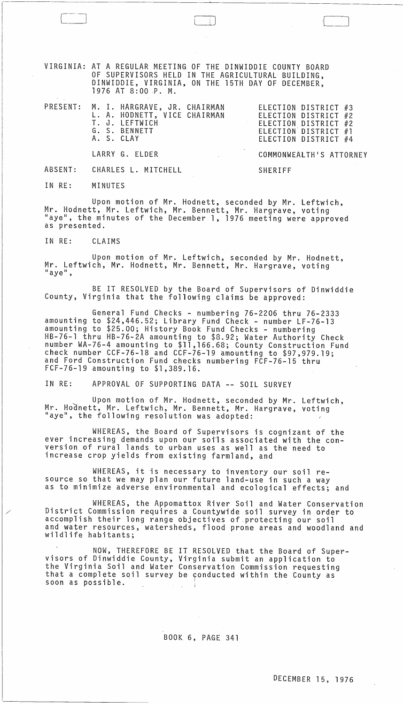VIRGINIA: AT A REGULAR MEETING OF THE DINWIDDIE COUNTY BOARD OF SUPERVISORS HELD IN THE AGRICULTURAL BUILDING, DINWIDDIE, VIRGINIA, ON THE 15TH DAY OF DECEMBER, 1976 AT 8:00 P. M.

|  | PRESENT: M. I. HARGRAVE, JR. CHAIRMAN<br>L. A. HODNETT, VICE CHAIRMAN<br>T. J. LEFTWICH<br>G. S. BENNETT<br>A. S. CLAY | ELECTION DISTRICT #3<br>ELECTION DISTRICT #2<br>ELECTION DISTRICT #2<br>ELECTION DISTRICT #1<br>ELECTION DISTRICT #4 |
|--|------------------------------------------------------------------------------------------------------------------------|----------------------------------------------------------------------------------------------------------------------|
|  | LARRY G. ELDER                                                                                                         | COMMONWEALTH'S ATTORNEY                                                                                              |
|  | ABSENT: CHARLES L. MITCHELL                                                                                            | SHERIFF                                                                                                              |

 $\Box$ 

IN RE: MINUTES

Upon motion of Mr. Hodnett, seconded by Mr. Leftwich, Mr. Hodnett, Mr. Leftwich, Mr. Bennett, Mr. Hargrave, voting "aye", the minutes of the December 1, 1976 meeting were approved as presented.

IN RE: CLAIMS

Upon motion of Mr. Leftwich, seconded by Mr. Hodnett, Mr. Leftwich, Mr. Hodnett, Mr. Bennett, Mr. Hargrave, voting<br>"aye",

BE IT RESOLVED by the Board of Supervisors of Dinwiddie County, Virginia that the following claims be approved:

General Fund Checks - numbering 76-2206 thru 76-2333 amounting to \$24,446.52; Library Fund Check - number LF-76-13 amounting to \$25.00; History Book Fund Checks - numbering HB-76-1 thru HB-76-2A amounting to \$8.92; Water Authority Check number WA-76-4 amounting to \$11,166.68; County Construction Fund check number CCF-76-18 and CCF-76-19 amounting to \$97,979.19; and Ford Construction Fund checks numbering FCF-76-15 thru FCF-76-19 amounting to \$1,389.16.

IN RE: APPROVAL OF SUPPORTING DATA **--** SOIL SURVEY

Upon motion of Mr. Hodnett, seconded by Mr. Leftwich, Mr. Hodnett, Mr. Leftwich, Mr. Bennett, Mr. Hargrave, voting "aye", the following resolution was adopted:

WHEREAS, the Board of Supervisors is cognizant of the ever increasing demands upon our sofls associated with the conversion of rural lands to urban uses as well as the need to increase crop yields from existing farmland, and

WHEREAS, it is necessary to inventory our soil resource so that we may plan our future land-use in such a way as to minimize adverse environmental and ecological effects; and

WHEREAS, the Appomattox River Soil and Water Conservation District Commission requires a Countywide soil survey in order to accomplish their long range objectives of protecting our soil and water resources, watersheds, flood prone areas and woodland and wildlife habitants;

NOW, THEREFORE BE IT RESOLVED that the Board of Super- visors of Dinwiddie County, Virginia submit an application to the Virginia Soil and Water Conservation Commission requesting<br>that a complete soil survey be conducted within the County as that a complete soil survey be conducted within the County as soon as possible.

BOOK 6; PAGE 341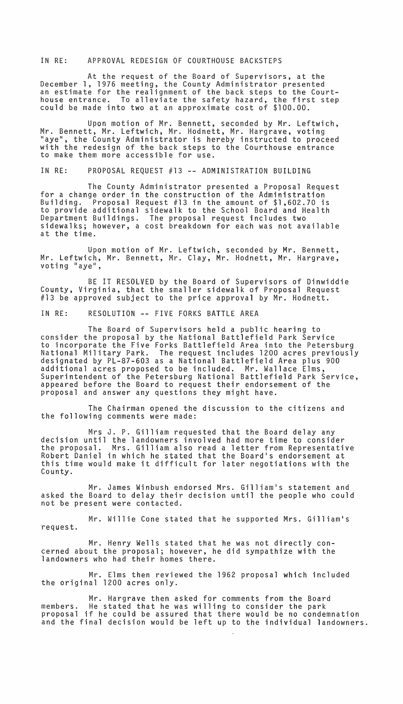## IN RE: APPROVAL REDESIGN OF COURTHOUSE BACKSTEPS

At the request of the Board of Supervisors, at the December 1, 1976 meeting, the County Administrator presented an estimate for the realignment of the back steps to the Courthouse entrance. To alleviate the safety hazard, the first step could be made into two at an approximate cost of \$100.00.

Upon motion of Mr. Bennett, seconded by Mr. Leftwich, Mr. Bennett, Mr. Leftwich, Mr. Hodnett, Mr. Hargrave, voting "aye", the County Administrator is hereby instructed to proceed with the redesign of the back steps to the Courthouse entrance to make them more accessible for use.

#### IN RE: PROPOSAL REQUEST #13 **--** ADMINISTRATION BUILDING

The County Administrator presented a Proposal Request for a change order in the construction of the Administration<br>Building. Proposal Request #13 in the amount of \$1,602.70 i Proposal Request #13 in the amount of  $$1,602.70$  is to provide additional sidewalk to the School Board and Health Department Buildings. The proposal request includes two sidewalks; however, a cost breakdown for each was not available at the time.

Upon motion of Mr. Leftwich, seconded by Mr. Bennett, Mr. Leftwich, Mr. Bennett, Mr. Clay, Mr. Hodnett, Mr. Hargrave,<br>voting "aye",

BE IT RESOLVED by the Board of Supervisors of Dinwiddie County, Virginia, that the smaller sidewalk of Proposal Request #13 be approved subject to the price approval by Mr. Hodnett.

IN RE: RESOLUTION **--** FIVE FORKS BATTLE AREA

The Board of Supervisors held a public hearing to consider the proposal by the National Battlefield Park Service National Military Park. The request includes 1200 acres previously designated by PL-87-603 as a National Battlefield Area plus 900 additional acres proposed to be included. Mr. Wallace Elms, Superintendent of the Petersburg National Battlefield Park Service, appeared before the Board to request their endorsement of the proposal and answer any questions they might have.

The Chairman opened the discussion to the citizens and the following comments were made:

Mrs J. P. Gilliam requested that the Board delay any decision until the landowners involved had more time to consider the proposal. Mrs. Gilliam also read a letter from Representative Robert Daniel in which he stated that the Board's endorsement at this time would make it difficult for later negotiations with the County.

Mr. James Winbush endorsed Mrs. Gilliam's statement and asked the Board to delay their decision until the people who could not be present were contacted.

Mr. Willie Cone stated that he supported Mrs. Gilliam's request.

Mr. Henry Wells stated that he was not directly concerned about the proposal; however, he did sympathize with the landowners who had their homes there.

Mr. Elms then reviewed the 1962 proposal which included the original 1200 acres only.

Mr. Hargrave then asked for comments from the Board<br>He stated that he was willing to consider the park members. He stated that he was willing to consider the park proposal if he could be assured that there would be no condemnation and the final decision would be left up to the individual landowners.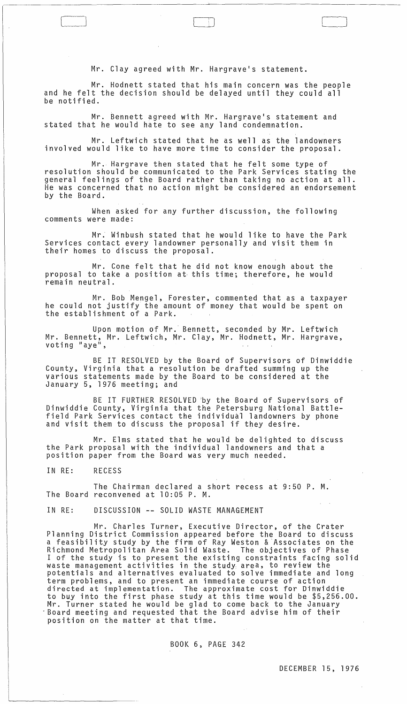Mr. Clay agreed with Mr. Hargrave's statement.

 $\Box$ 

Mr. Hodnett stated that his main concern was the people and he felt the decision should be delayed until they could all be notified.

Mr. Bennett agreed with Mr. Hargrave's statement and stated that he would hate to see any land condemnation.

Mr. Leftwich stated that he as well as the landowners involved would like to have more time to consider the proposal.

Mr. Hargrave then stated that he felt some type of resolution should be communicated to the Park Services stating the general feelings of the Board rather than taking no action at all. He was concerned that no action might be considered an endorsement by the Board.

When asked for any further discussion, the following comments were made:

Mr; Winbush stated that he would like to have the Park Services contact every landowner personally and visit them in their homes to discuss the proposal.

Mr. Cone felt that he did not know enough about the proposal to take a position at, this time; therefore, he would remain neutral.

Mr. Bob Mengel, Forester, commented that as a taxpayer he could not justify the amount of money that would be spent on the establishment of a Park.

Upon motion of Mr.' Bennett, seconded by Mr. Leftwich Mr. Bennett, Mr. Leftwich, Mr. Clay, Mr. Hodnett, Mr. Hargrave,<br>voting "aye",

BE IT RESOLVED by the Board of Supervisors of Dinwiddie County, Virginia that a resolution be drafted summing up the various statements made by the Board to be considered at the January 5, 1976 meeting; and

BE IT FURTHER RESOLVED 'by the Board of Supervisors of Dinwiddie County, Virginia that the Petersburg National Battlefield Park Services contact the individual landowners by phone and visit them to discuss the proposal if they desire.

Mr. Elms stated that he would be delighted to discuss the Park propbsal with the individual landowners and that a position paper from the Board was very much needed.

IN RE: RECESS

The Chairman declared a short recess at 9:50 P. M. The Board reconvened at 10:05 P. M.

IN RE: DISCUSSION -- SOLID WASTE MANAGEMENT

Mr. Charles Turner, Executive Director, of the Crater Planning District Commission appeared before the Board to discuss a feasibility study by the firm of Ray Weston & 'Associates on the Richmond Metropolitan Area Solid Waste. The objectives of Phase I of the study is to present the existing constraints facing solid waste management activities in the study: area, to review the potentials and alternatives evaluated to solve immediate and long term problems, and to present an immediate course of action directed at implementation. The approximate cost for Dinwiddie to buy into the first phase study at this time would be \$5,256.00. Mr. Turner stated he would be glad to come back to the January "Board meeting and requested that the Board advise him of their position on the matter at that time.

BOOK 6, PAGE 342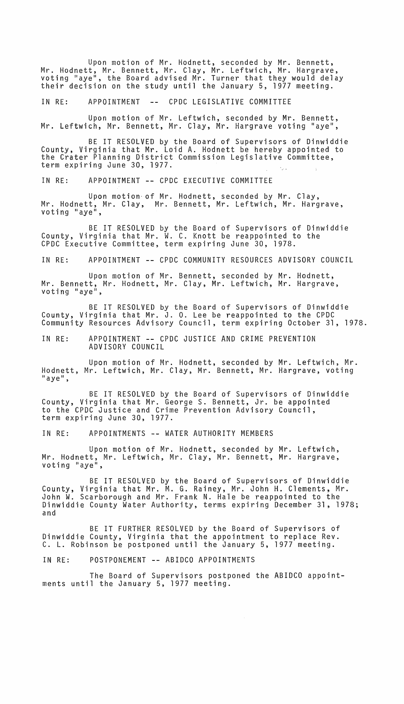Upon motion of Mr. Hodnett, seconded by Mr. Bennett, Mr. Hodnett, Mr. Bennett, Mr. Clay, Mr. Leftwich, Mr. Hargrave, voting "aye", the Board advised Mr. Turner that they would delay their decision on the study until the January 5, 1977 meeting.

IN RE: APPOINTMENT -- CPDC LEGISLATIVE COMMITTEE

Upon motion of Mr. Leftwich, seconded by Mr. Bennett, Mr. Leftwich, Mr. Bennett, Mr. Clay, Mr. Hargrave voting "aye",

BE IT RESOLVED by the Board of Supervisors of Dinwiddie County, Virginia that Mr. Loid A. Hodnett be hereby appointed to the Crater Planning District Commission Legislative Committee, term expiring June 30, 1977.

IN RE: APPOINTMENT **--** CPDC EXECUTIVE COMMITTEE

Upon motion of Mr. Hodnett, seconded by Mr. Clay, Mr. Hodnett, Mr. Clay, Mr. Bennett, Mr. Leftwich, Mr. Hargrave, voting "aye",

BE IT RESOLVED by the Board of Supervisors of Dinwiddie County, Virginia that Mr. W. C. Knott be reappointed to the CPDC Executive Committee, term expiring June 30, 1978.

IN RE: APPOINTMENT **--** CPDC COMMUNITY RESOURCES ADVISORY COUNCIL

Upon motion of Mr. Bennett, seconded by Mr. Hodnett, Mr. Bennett, Mr. Hodnett, Mr. Clay, Mr. Leftwich, Mr. Hargrave, voting "aye",

BE IT RESOLVED by the Board of Supervisors of Dinwiddie County, Virginia that Mr. J. O. Lee be reappointed to the CPDC Community Resources Advisory Council, term expiring October 31, 1978.

IN RE: APPOINTMENT **--** CPDC JUSTICE AND CRIME PREVENTION ADVISORY COUNCIL

Upon motion of Mr. Hodnett, seconded by Mr. Leftwich, Mr. Hodnett, Mr. Leftwich, Mr. Clay, Mr. Bennett, Mr. Hargrave, voting<br>"aye",

BE IT RESOLVED by the Board of Supervisors of Dinwiddie County, Virginia that Mr. George S. Bennett, Jr. be appointed to the CPDC Justice and Crime Prevention Advisory Council, term expiring June 30, 1977.

IN RE: APPOINTMENTS **--** WATER AUTHORITY MEMBERS

Upon motion of Mr. Hodnett, seconded by Mr. Leftwich, Mr. Hodnett, Mr. Leftwich, Mr. Clay, Mr. Bennett, Mr. Hargrave, voting "aye",

BE IT RESOLVED by the Board of Supervisors of Dinwiddie County, Virginia that Mr. M. G. Rainey, Mr. John H. Clements, Mr. John W. Scarborough and Mr. Frank N. Hale be reappointed to the Dinwiddie County Water Authority, terms expiring December 31, 1978; and

BE IT FURTHER RESOLVED by the Board of Supervisors of Dinwiddie County, Virginia that the appointment to replace Rev. C. L. Robinson be postponed until the January 5, 1977 meeting.

IN RE: POSTPONEMENT **--** ABIDCO APPOINTMENTS

The Board of Supervisors postponed the ABIDCO appointments until the January 5, 1977 meeting.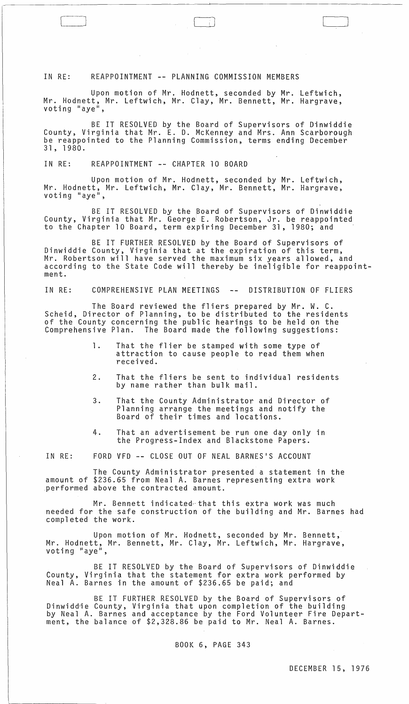### IN RE: REAPPOINTMENT **--** PLANNING COMMISSION MEMBERS

Upon motion of Mr. Hodnett, seconded by Mr. Leftwich, Mr. Hodnett, Mr. Leftwich, Mr. Clay, Mr. Bennett, Mr. Hargrave,

 $r=\sqrt{1-\frac{1}{2}}$ 

BE IT RESOLVED by the Board of Supervisors of Dinwiddie County, Virginia that Mr. E. D. McKenney and Mrs. Ann Scarborough be reappointed to the Planning Commission, terms ending December 31, 1980.

IN RE: REAPPOINTMENT **--** CHAPTER 10 BOARD

Upon motion of Mr. Hodnett, seconded by Mr. Leftwich, Mr. Hodnett, Mr. Leftwich, Mr. Clay, Mr. Bennett, Mr. Hargrave,<br>voting "aye",

BE IT RESOLVED by the Board of Supervisors of Dinwiddie County, Virginia that Mr. George E. Robertson, Jr. be reappointed to the Chapter 10 Board, term expiring December 31, 1980; and

BE IT FURTHER RESOLVED by the Board of Supervisors of Dinwiddie County, Virginia that at the expiration of this term, Mr. Robertson will have served the maximum six years allowed, and according to the State Code will thereby be ineligible for reappointment.

IN RE: COMPREHENSIVE PLAN MEETINGS -- DISTRIBUTION OF FLIERS

The Board reviewed the fliers prepared by Mr. W. C. Scheid, Director of Planning, to be distributed to the residents of the County concerning the public hearings to be held on the Comprehensive Plan. The Board made the following suggestions:

- 1. That the flier be stamped with some type of attraction to cause people to read them when received.
- 2. That the fliers be sent to individual residents by name rather than bulk mail.
- 3. That the County Administrator and Director of Planning arrange the meetings and notify the Board of their times and locations.
- 4. That an advertisement be run one day only in the Progress-Index and Blackstone Papers.

IN RE: FORD VFD **--** CLOSE OUT OF NEAL BARNES·S ACCOUNT

The County Administrator presented a statement in the amount of \$236.65 from Neal A. Barnes representing extra work performed above the contracted amount.

Mr. Bennett indicated that this extra work was much needed for the safe construction of the building and Mr. Barnes had completed the work.

Upon motion of Mr. Hodnett, seconded by Mr. Bennett, Mr. Hodnett, Mr. Bennett, Mr. Clay, Mr. Leftwich, Mr. Hargrave, voting "aye",

BE IT RESOLVED by the Board of Supervisors of Dinwiddie County, Virginia that the statement for extra work performed by Neal A. Barnes in the amount of \$236.65 be paid; and

BE IT FURTHER RESOLVED by the Board of Supervisors of Dinwiddie County, Virginia that upon completion of the building<br>by Neal A. Barnes and acceptance by the Ford Volunteer Fire Department, the balance of \$2,328.86 be paid to Mr. Neal A. Barnes.